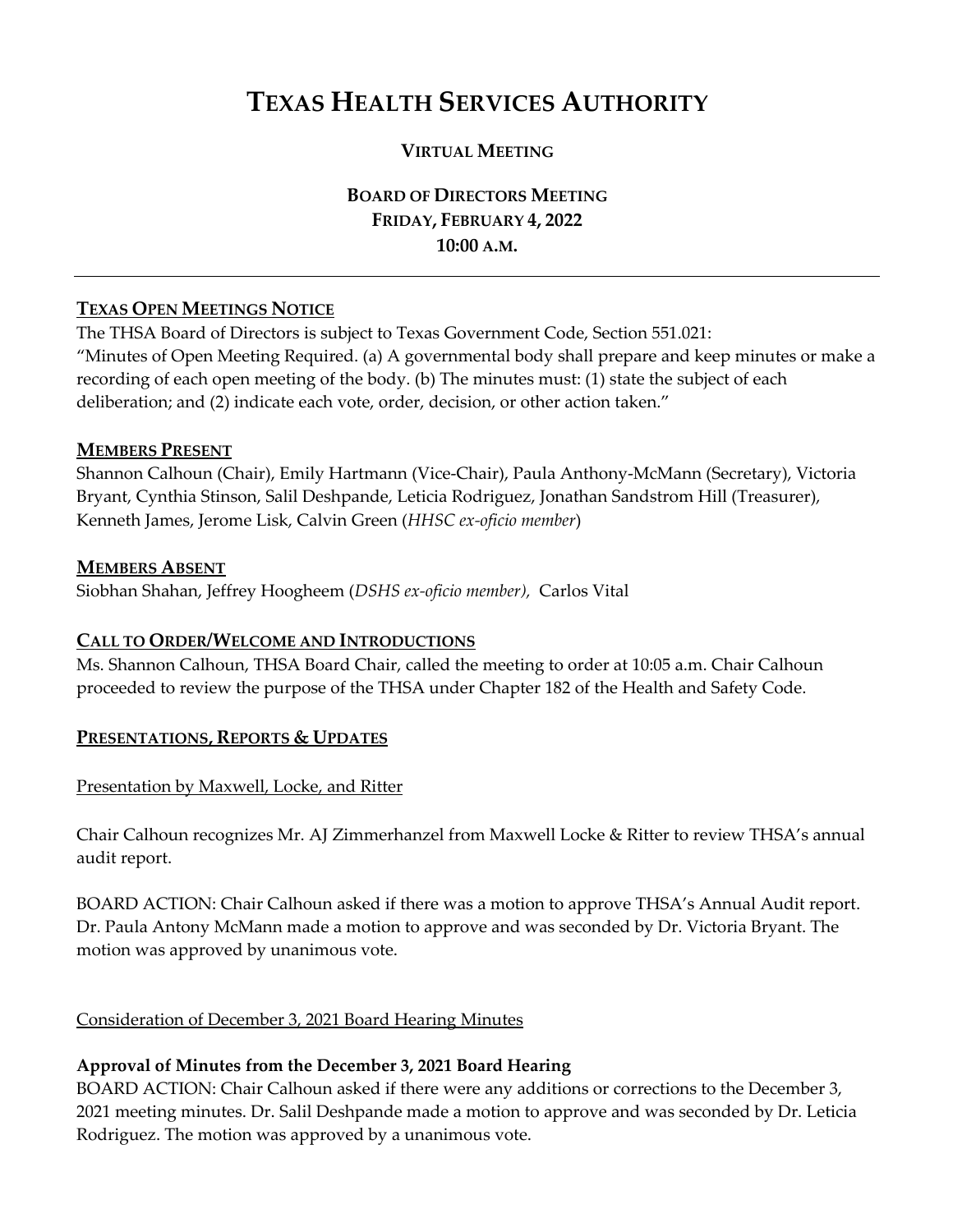# **TEXAS HEALTH SERVICES AUTHORITY**

# **VIRTUAL MEETING**

**BOARD OF DIRECTORS MEETING FRIDAY, FEBRUARY 4, 2022 10:00 A.M.** 

## **TEXAS OPEN MEETINGS NOTICE**

The THSA Board of Directors is subject to Texas Government Code, Section 551.021: "Minutes of Open Meeting Required. (a) A governmental body shall prepare and keep minutes or make a recording of each open meeting of the body. (b) The minutes must: (1) state the subject of each deliberation; and (2) indicate each vote, order, decision, or other action taken."

#### **MEMBERS PRESENT**

Shannon Calhoun (Chair), Emily Hartmann (Vice-Chair), Paula Anthony-McMann (Secretary), Victoria Bryant, Cynthia Stinson, Salil Deshpande, Leticia Rodriguez, Jonathan Sandstrom Hill (Treasurer), Kenneth James, Jerome Lisk, Calvin Green (*HHSC ex-oficio member*)

#### **MEMBERS ABSENT**

Siobhan Shahan, Jeffrey Hoogheem (*DSHS ex-oficio member),* Carlos Vital

## **CALL TO ORDER/WELCOME AND INTRODUCTIONS**

Ms. Shannon Calhoun, THSA Board Chair, called the meeting to order at 10:05 a.m. Chair Calhoun proceeded to review the purpose of the THSA under Chapter 182 of the Health and Safety Code.

## **PRESENTATIONS, REPORTS & UPDATES**

#### Presentation by Maxwell, Locke, and Ritter

Chair Calhoun recognizes Mr. AJ Zimmerhanzel from Maxwell Locke & Ritter to review THSA's annual audit report.

BOARD ACTION: Chair Calhoun asked if there was a motion to approve THSA's Annual Audit report. Dr. Paula Antony McMann made a motion to approve and was seconded by Dr. Victoria Bryant. The motion was approved by unanimous vote.

#### Consideration of December 3, 2021 Board Hearing Minutes

# **Approval of Minutes from the December 3, 2021 Board Hearing**

BOARD ACTION: Chair Calhoun asked if there were any additions or corrections to the December 3, 2021 meeting minutes. Dr. Salil Deshpande made a motion to approve and was seconded by Dr. Leticia Rodriguez. The motion was approved by a unanimous vote.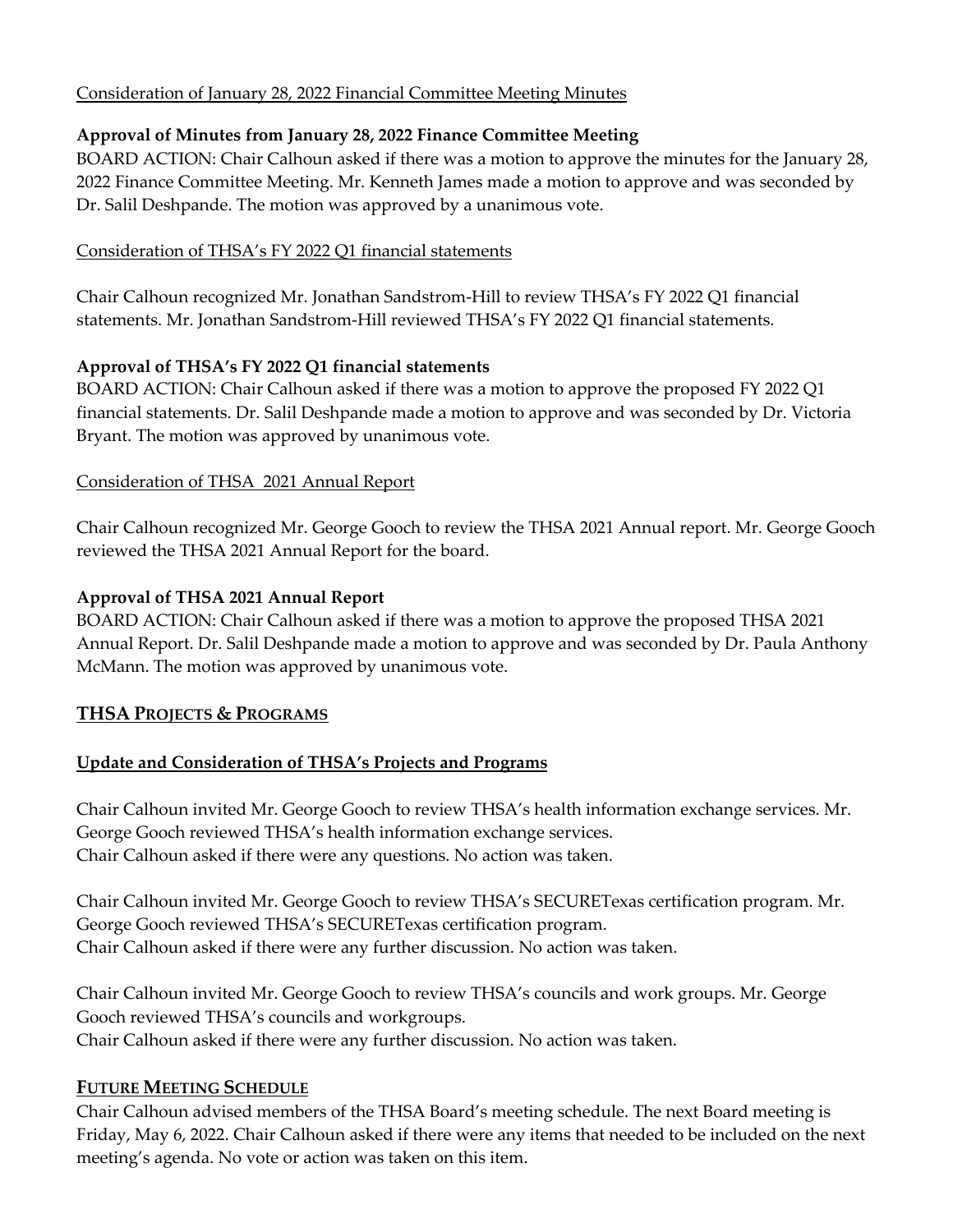# Consideration of January 28, 2022 Financial Committee Meeting Minutes

# **Approval of Minutes from January 28, 2022 Finance Committee Meeting**

BOARD ACTION: Chair Calhoun asked if there was a motion to approve the minutes for the January 28, 2022 Finance Committee Meeting. Mr. Kenneth James made a motion to approve and was seconded by Dr. Salil Deshpande. The motion was approved by a unanimous vote.

## Consideration of THSA's FY 2022 Q1 financial statements

Chair Calhoun recognized Mr. Jonathan Sandstrom-Hill to review THSA's FY 2022 Q1 financial statements. Mr. Jonathan Sandstrom-Hill reviewed THSA's FY 2022 Q1 financial statements.

# **Approval of THSA's FY 2022 Q1 financial statements**

BOARD ACTION: Chair Calhoun asked if there was a motion to approve the proposed FY 2022 Q1 financial statements. Dr. Salil Deshpande made a motion to approve and was seconded by Dr. Victoria Bryant. The motion was approved by unanimous vote.

# Consideration of THSA 2021 Annual Report

Chair Calhoun recognized Mr. George Gooch to review the THSA 2021 Annual report. Mr. George Gooch reviewed the THSA 2021 Annual Report for the board.

# **Approval of THSA 2021 Annual Report**

BOARD ACTION: Chair Calhoun asked if there was a motion to approve the proposed THSA 2021 Annual Report. Dr. Salil Deshpande made a motion to approve and was seconded by Dr. Paula Anthony McMann. The motion was approved by unanimous vote.

# **THSA PROJECTS & PROGRAMS**

# **Update and Consideration of THSA's Projects and Programs**

Chair Calhoun invited Mr. George Gooch to review THSA's health information exchange services. Mr. George Gooch reviewed THSA's health information exchange services. Chair Calhoun asked if there were any questions. No action was taken.

Chair Calhoun invited Mr. George Gooch to review THSA's SECURETexas certification program. Mr. George Gooch reviewed THSA's SECURETexas certification program. Chair Calhoun asked if there were any further discussion. No action was taken.

Chair Calhoun invited Mr. George Gooch to review THSA's councils and work groups. Mr. George Gooch reviewed THSA's councils and workgroups. Chair Calhoun asked if there were any further discussion. No action was taken.

## **FUTURE MEETING SCHEDULE**

Chair Calhoun advised members of the THSA Board's meeting schedule. The next Board meeting is Friday, May 6, 2022. Chair Calhoun asked if there were any items that needed to be included on the next meeting's agenda. No vote or action was taken on this item.